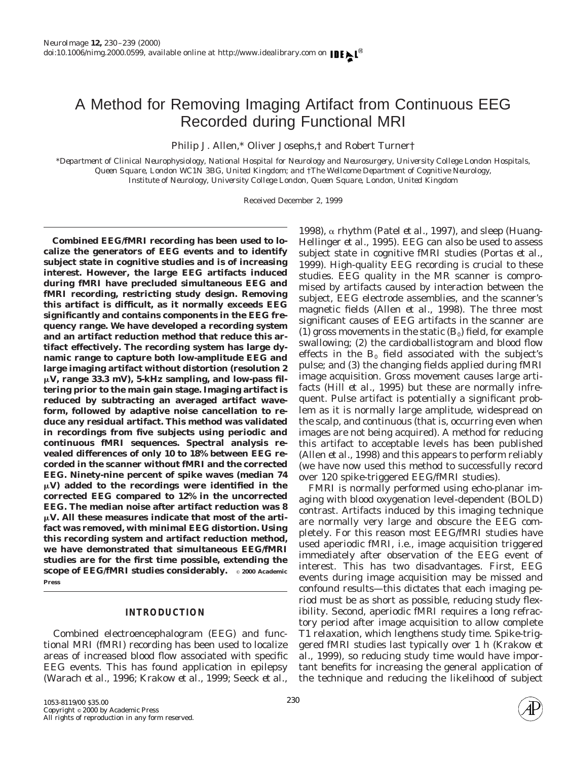# A Method for Removing Imaging Artifact from Continuous EEG Recorded during Functional MRI

Philip J. Allen,\* Oliver Josephs,† and Robert Turner†

\**Department of Clinical Neurophysiology, National Hospital for Neurology and Neurosurgery, University College London Hospitals, Queen Square, London WC1N 3BG, United Kingdom; and* †*The Wellcome Department of Cognitive Neurology, Institute of Neurology, University College London, Queen Square, London, United Kingdom*

Received December 2, 1999

**Combined EEG/fMRI recording has been used to localize the generators of EEG events and to identify subject state in cognitive studies and is of increasing interest. However, the large EEG artifacts induced during fMRI have precluded simultaneous EEG and fMRI recording, restricting study design. Removing this artifact is difficult, as it normally exceeds EEG significantly and contains components in the EEG frequency range. We have developed a recording system and an artifact reduction method that reduce this artifact effectively. The recording system has large dynamic range to capture both low-amplitude EEG and large imaging artifact without distortion (resolution 2** m**V, range 33.3 mV), 5-kHz sampling, and low-pass filtering prior to the main gain stage. Imaging artifact is reduced by subtracting an averaged artifact waveform, followed by adaptive noise cancellation to reduce any residual artifact. This method was validated in recordings from five subjects using periodic and continuous fMRI sequences. Spectral analysis revealed differences of only 10 to 18% between EEG recorded in the scanner without fMRI and the corrected EEG. Ninety-nine percent of spike waves (median 74** m**V) added to the recordings were identified in the corrected EEG compared to 12% in the uncorrected EEG. The median noise after artifact reduction was 8** m**V. All these measures indicate that most of the artifact was removed, with minimal EEG distortion. Using this recording system and artifact reduction method, we have demonstrated that simultaneous EEG/fMRI studies are for the first time possible, extending the scope of EEG/fMRI studies considerably.** © **2000 Academic Press**

## **INTRODUCTION**

Combined electroencephalogram (EEG) and functional MRI (fMRI) recording has been used to localize areas of increased blood flow associated with specific EEG events. This has found application in epilepsy (Warach *et al.,* 1996; Krakow *et al.,* 1999; Seeck *et al.,*

1998), a rhythm (Patel *et al.,* 1997), and sleep (Huang-Hellinger *et al.,* 1995). EEG can also be used to assess subject state in cognitive fMRI studies (Portas *et al.,* 1999). High-quality EEG recording is crucial to these studies. EEG quality in the MR scanner is compromised by artifacts caused by interaction between the subject, EEG electrode assemblies, and the scanner's magnetic fields (Allen *et al.,* 1998). The three most significant causes of EEG artifacts in the scanner are (1) gross movements in the static  $(B_0)$  field, for example swallowing; (2) the cardioballistogram and blood flow effects in the  $B_0$  field associated with the subject's pulse; and (3) the changing fields applied during fMRI image acquisition. Gross movement causes large artifacts (Hill *et al.,* 1995) but these are normally infrequent. Pulse artifact is potentially a significant problem as it is normally large amplitude, widespread on the scalp, and continuous (that is, occurring even when images are not being acquired). A method for reducing this artifact to acceptable levels has been published (Allen *et al.,* 1998) and this appears to perform reliably (we have now used this method to successfully record over 120 spike-triggered EEG/fMRI studies).

FMRI is normally performed using echo-planar imaging with blood oxygenation level-dependent (BOLD) contrast. Artifacts induced by this imaging technique are normally very large and obscure the EEG completely. For this reason most EEG/fMRI studies have used aperiodic fMRI, i.e., image acquisition triggered immediately after observation of the EEG event of interest. This has two disadvantages. First, EEG events during image acquisition may be missed and confound results—this dictates that each imaging period must be as short as possible, reducing study flexibility. Second, aperiodic fMRI requires a long refractory period after image acquisition to allow complete T1 relaxation, which lengthens study time. Spike-triggered fMRI studies last typically over 1 h (Krakow *et al.,* 1999), so reducing study time would have important benefits for increasing the general application of the technique and reducing the likelihood of subject

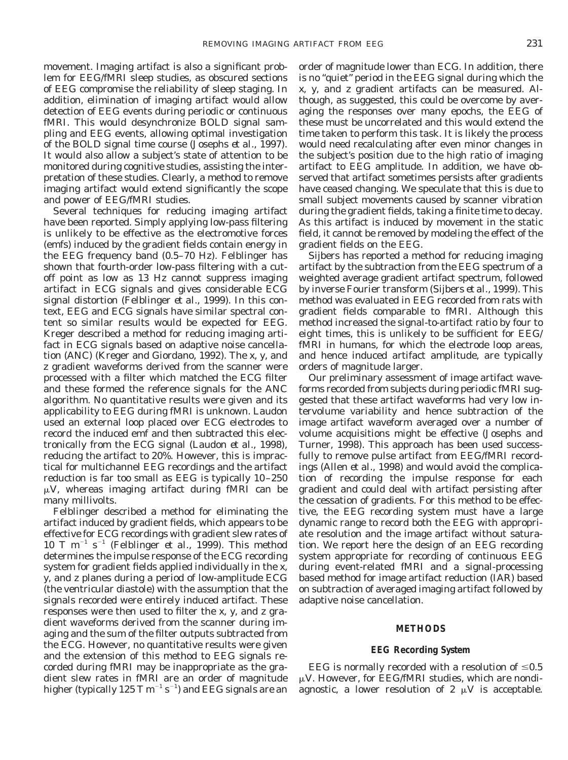movement. Imaging artifact is also a significant problem for EEG/fMRI sleep studies, as obscured sections of EEG compromise the reliability of sleep staging. In addition, elimination of imaging artifact would allow detection of EEG events during periodic or continuous fMRI. This would desynchronize BOLD signal sampling and EEG events, allowing optimal investigation of the BOLD signal time course (Josephs *et al.,* 1997). It would also allow a subject's state of attention to be monitored during cognitive studies, assisting the interpretation of these studies. Clearly, a method to remove imaging artifact would extend significantly the scope and power of EEG/fMRI studies.

Several techniques for reducing imaging artifact have been reported. Simply applying low-pass filtering is unlikely to be effective as the electromotive forces (emfs) induced by the gradient fields contain energy in the EEG frequency band (0.5–70 Hz). Felblinger has shown that fourth-order low-pass filtering with a cutoff point as low as 13 Hz cannot suppress imaging artifact in ECG signals and gives considerable ECG signal distortion (Felblinger *et al.,* 1999). In this context, EEG and ECG signals have similar spectral content so similar results would be expected for EEG. Kreger described a method for reducing imaging artifact in ECG signals based on adaptive noise cancellation (ANC) (Kreger and Giordano, 1992). The *x*, *y*, and *z* gradient waveforms derived from the scanner were processed with a filter which matched the ECG filter and these formed the reference signals for the ANC algorithm. No quantitative results were given and its applicability to EEG during fMRI is unknown. Laudon used an external loop placed over ECG electrodes to record the induced emf and then subtracted this electronically from the ECG signal (Laudon *et al.,* 1998), reducing the artifact to 20%. However, this is impractical for multichannel EEG recordings and the artifact reduction is far too small as EEG is typically 10–250  $\mu$ V, whereas imaging artifact during fMRI can be many millivolts.

Felblinger described a method for eliminating the artifact induced by gradient fields, which appears to be effective for ECG recordings with gradient slew rates of 10 T  $m^{-1}$  s<sup>-1</sup> (Felblinger *et al.,* 1999). This method determines the impulse response of the ECG recording system for gradient fields applied individually in the *x*, *y*, and *z* planes during a period of low-amplitude ECG (the ventricular diastole) with the assumption that the signals recorded were entirely induced artifact. These responses were then used to filter the *x*, *y*, and *z* gradient waveforms derived from the scanner during imaging and the sum of the filter outputs subtracted from the ECG. However, no quantitative results were given and the extension of this method to EEG signals recorded during fMRI may be inappropriate as the gradient slew rates in fMRI are an order of magnitude higher (typically 125 T  $\mathrm{m^{-1}\,s^{-1}}$ ) and EEG signals are an

order of magnitude lower than ECG. In addition, there is no "quiet" period in the EEG signal during which the *x*, *y*, and *z* gradient artifacts can be measured. Although, as suggested, this could be overcome by averaging the responses over many epochs, the EEG of these must be uncorrelated and this would extend the time taken to perform this task. It is likely the process would need recalculating after even minor changes in the subject's position due to the high ratio of imaging artifact to EEG amplitude. In addition, we have observed that artifact sometimes persists after gradients have ceased changing. We speculate that this is due to small subject movements caused by scanner vibration during the gradient fields, taking a finite time to decay. As this artifact is induced by movement in the static field, it cannot be removed by modeling the effect of the gradient fields on the EEG.

Sijbers has reported a method for reducing imaging artifact by the subtraction from the EEG spectrum of a weighted average gradient artifact spectrum, followed by inverse Fourier transform (Sijbers *et al.,* 1999). This method was evaluated in EEG recorded from rats with gradient fields comparable to fMRI. Although this method increased the signal-to-artifact ratio by four to eight times, this is unlikely to be sufficient for EEG/ fMRI in humans, for which the electrode loop areas, and hence induced artifact amplitude, are typically orders of magnitude larger.

Our preliminary assessment of image artifact waveforms recorded from subjects during periodic fMRI suggested that these artifact waveforms had very low intervolume variability and hence subtraction of the image artifact waveform averaged over a number of volume acquisitions might be effective (Josephs and Turner, 1998). This approach has been used successfully to remove pulse artifact from EEG/fMRI recordings (Allen *et al.,* 1998) and would avoid the complication of recording the impulse response for each gradient and could deal with artifact persisting after the cessation of gradients. For this method to be effective, the EEG recording system must have a large dynamic range to record both the EEG with appropriate resolution and the image artifact without saturation. We report here the design of an EEG recording system appropriate for recording of continuous EEG during event-related fMRI and a signal-processing based method for image artifact reduction (IAR) based on subtraction of averaged imaging artifact followed by adaptive noise cancellation.

### **METHODS**

#### **EEG Recording System**

EEG is normally recorded with a resolution of  $\leq 0.5$  $\mu$ V. However, for EEG/fMRI studies, which are nondiagnostic, a lower resolution of 2  $\mu$ V is acceptable.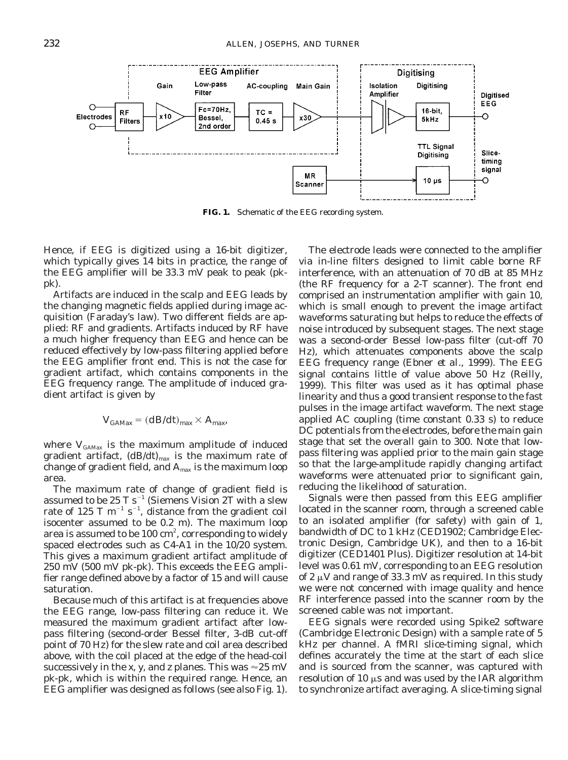

**FIG. 1.** Schematic of the EEG recording system.

Hence, if EEG is digitized using a 16-bit digitizer, which typically gives 14 bits in practice, the range of the EEG amplifier will be 33.3 mV peak to peak (pkpk).

Artifacts are induced in the scalp and EEG leads by the changing magnetic fields applied during image acquisition (Faraday's law). Two different fields are applied: RF and gradients. Artifacts induced by RF have a much higher frequency than EEG and hence can be reduced effectively by low-pass filtering applied before the EEG amplifier front end. This is not the case for gradient artifact, which contains components in the EEG frequency range. The amplitude of induced gradient artifact is given by

$$
V_{\text{GAMax}} = (dB/dt)_{\text{max}} \times A_{\text{max}},
$$

where  $V_{\text{GAMax}}$  is the maximum amplitude of induced gradient artifact,  $(dB/dt)_{\text{max}}$  is the maximum rate of change of gradient field, and  $A_{\text{max}}$  is the maximum loop area.

The maximum rate of change of gradient field is assumed to be 25 T s $^{-1}$  (Siemens Vision 2T with a slew rate of 125 T  $m^{-1}$  s<sup>-1</sup>, distance from the gradient coil isocenter assumed to be 0.2 m). The maximum loop area is assumed to be 100  $\mathrm{cm}^2$ , corresponding to widely spaced electrodes such as C4-A1 in the 10/20 system. This gives a maximum gradient artifact amplitude of 250 mV (500 mV pk-pk). This exceeds the EEG amplifier range defined above by a factor of 15 and will cause saturation.

Because much of this artifact is at frequencies above the EEG range, low-pass filtering can reduce it. We measured the maximum gradient artifact after lowpass filtering (second-order Bessel filter, 3-dB cut-off point of 70 Hz) for the slew rate and coil area described above, with the coil placed at the edge of the head-coil successively in the *x*, *y*, and *z* planes. This was  $\approx$  25 mV pk-pk, which is within the required range. Hence, an EEG amplifier was designed as follows (see also Fig. 1).

The electrode leads were connected to the amplifier via in-line filters designed to limit cable borne RF interference, with an attenuation of 70 dB at 85 MHz (the RF frequency for a 2-T scanner). The front end comprised an instrumentation amplifier with gain 10, which is small enough to prevent the image artifact waveforms saturating but helps to reduce the effects of noise introduced by subsequent stages. The next stage was a second-order Bessel low-pass filter (cut-off 70 Hz), which attenuates components above the scalp EEG frequency range (Ebner *et al.,* 1999). The EEG signal contains little of value above 50 Hz (Reilly, 1999). This filter was used as it has optimal phase linearity and thus a good transient response to the fast pulses in the image artifact waveform. The next stage applied AC coupling (time constant 0.33 s) to reduce DC potentials from the electrodes, before the main gain stage that set the overall gain to 300. Note that lowpass filtering was applied prior to the main gain stage so that the large-amplitude rapidly changing artifact waveforms were attenuated prior to significant gain, reducing the likelihood of saturation.

Signals were then passed from this EEG amplifier located in the scanner room, through a screened cable to an isolated amplifier (for safety) with gain of 1, bandwidth of DC to 1 kHz (CED1902; Cambridge Electronic Design, Cambridge UK), and then to a 16-bit digitizer (CED1401 Plus). Digitizer resolution at 14-bit level was 0.61 mV, corresponding to an EEG resolution of 2  $\mu$ V and range of 33.3 mV as required. In this study we were not concerned with image quality and hence RF interference passed into the scanner room by the screened cable was not important.

EEG signals were recorded using Spike2 software (Cambridge Electronic Design) with a sample rate of 5 kHz per channel. A fMRI slice-timing signal, which defines accurately the time at the start of each slice and is sourced from the scanner, was captured with resolution of 10  $\mu$ s and was used by the IAR algorithm to synchronize artifact averaging. A slice-timing signal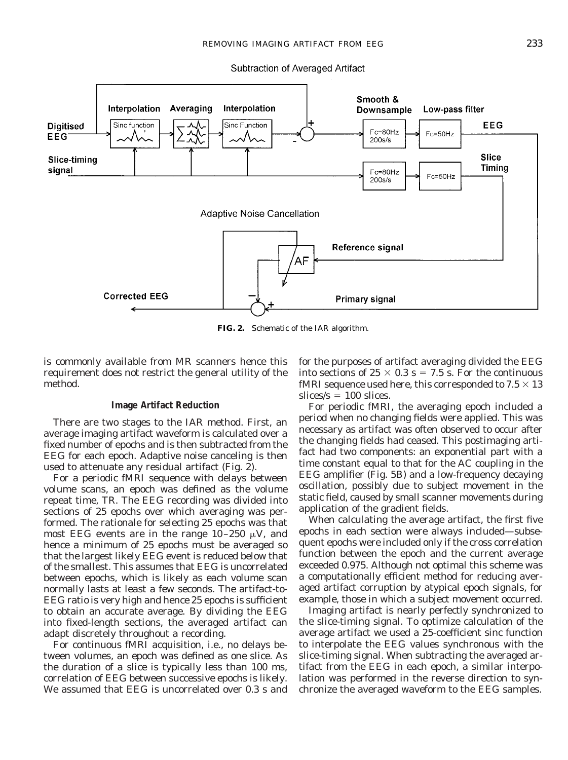#### **Subtraction of Averaged Artifact**



**FIG. 2.** Schematic of the IAR algorithm.

is commonly available from MR scanners hence this requirement does not restrict the general utility of the method.

#### **Image Artifact Reduction**

There are two stages to the IAR method. First, an average imaging artifact waveform is calculated over a fixed number of epochs and is then subtracted from the EEG for each epoch. Adaptive noise canceling is then used to attenuate any residual artifact (Fig. 2).

For a periodic fMRI sequence with delays between volume scans, an epoch was defined as the volume repeat time, TR. The EEG recording was divided into sections of 25 epochs over which averaging was performed. The rationale for selecting 25 epochs was that most EEG events are in the range  $10-250 \mu V$ , and hence a minimum of 25 epochs must be averaged so that the largest likely EEG event is reduced below that of the smallest. This assumes that EEG is uncorrelated between epochs, which is likely as each volume scan normally lasts at least a few seconds. The artifact-to-EEG ratio is very high and hence 25 epochs is sufficient to obtain an accurate average. By dividing the EEG into fixed-length sections, the averaged artifact can adapt discretely throughout a recording.

For continuous fMRI acquisition, i.e., no delays between volumes, an epoch was defined as one slice. As the duration of a slice is typically less than 100 ms, correlation of EEG between successive epochs is likely. We assumed that EEG is uncorrelated over 0.3 s and

for the purposes of artifact averaging divided the EEG into sections of  $25 \times 0.3$  s = 7.5 s. For the continuous fMRI sequence used here, this corresponded to  $7.5 \times 13$ slices/s  $= 100$  slices.

For periodic fMRI, the averaging epoch included a period when no changing fields were applied. This was necessary as artifact was often observed to occur after the changing fields had ceased. This postimaging artifact had two components: an exponential part with a time constant equal to that for the AC coupling in the EEG amplifier (Fig. 5B) and a low-frequency decaying oscillation, possibly due to subject movement in the static field, caused by small scanner movements during application of the gradient fields.

When calculating the average artifact, the first five epochs in each section were always included—subsequent epochs were included only if the cross correlation function between the epoch and the current average exceeded 0.975. Although not optimal this scheme was a computationally efficient method for reducing averaged artifact corruption by atypical epoch signals, for example, those in which a subject movement occurred.

Imaging artifact is nearly perfectly synchronized to the slice-timing signal. To optimize calculation of the average artifact we used a 25-coefficient sinc function to interpolate the EEG values synchronous with the slice-timing signal. When subtracting the averaged artifact from the EEG in each epoch, a similar interpolation was performed in the reverse direction to synchronize the averaged waveform to the EEG samples.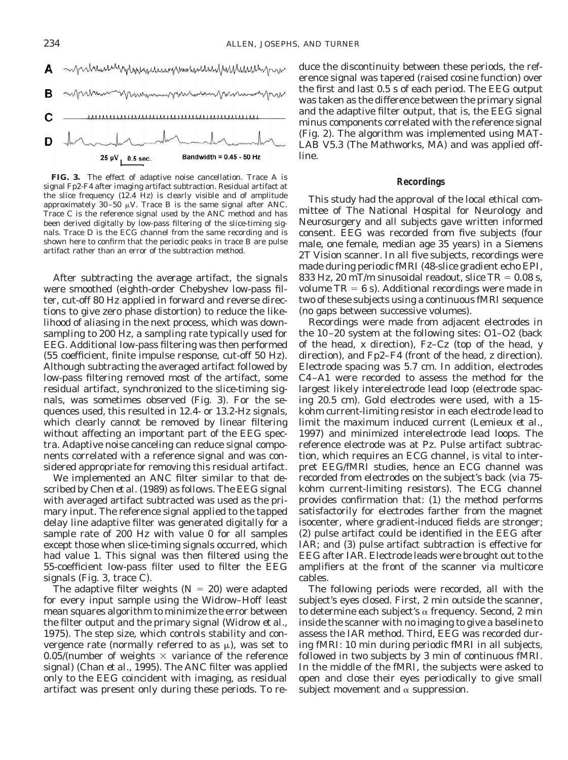

**FIG. 3.** The effect of adaptive noise cancellation. Trace A is signal Fp2-F4 after imaging artifact subtraction. Residual artifact at the slice frequency (12.4 Hz) is clearly visible and of amplitude approximately  $30-50$   $\mu$ V. Trace B is the same signal after ANC. Trace C is the reference signal used by the ANC method and has been derived digitally by low-pass filtering of the slice-timing signals. Trace D is the ECG channel from the same recording and is shown here to confirm that the periodic peaks in trace B are pulse artifact rather than an error of the subtraction method.

After subtracting the average artifact, the signals were smoothed (eighth-order Chebyshev low-pass filter, cut-off 80 Hz applied in forward and reverse directions to give zero phase distortion) to reduce the likelihood of aliasing in the next process, which was downsampling to 200 Hz, a sampling rate typically used for EEG. Additional low-pass filtering was then performed (55 coefficient, finite impulse response, cut-off 50 Hz). Although subtracting the averaged artifact followed by low-pass filtering removed most of the artifact, some residual artifact, synchronized to the slice-timing signals, was sometimes observed (Fig. 3). For the sequences used, this resulted in 12.4- or 13.2-Hz signals, which clearly cannot be removed by linear filtering without affecting an important part of the EEG spectra. Adaptive noise canceling can reduce signal components correlated with a reference signal and was considered appropriate for removing this residual artifact.

We implemented an ANC filter similar to that described by Chen *et al.* (1989) as follows. The EEG signal with averaged artifact subtracted was used as the primary input. The reference signal applied to the tapped delay line adaptive filter was generated digitally for a sample rate of 200 Hz with value 0 for all samples except those when slice-timing signals occurred, which had value 1. This signal was then filtered using the 55-coefficient low-pass filter used to filter the EEG signals (Fig. 3, trace C).

The adaptive filter weights  $(N = 20)$  were adapted for every input sample using the Widrow–Hoff least mean squares algorithm to minimize the error between the filter output and the primary signal (Widrow *et al.,* 1975). The step size, which controls stability and convergence rate (normally referred to as  $\mu$ ), was set to 0.05/(number of weights  $\times$  variance of the reference signal) (Chan *et al.,* 1995). The ANC filter was applied only to the EEG coincident with imaging, as residual artifact was present only during these periods. To reduce the discontinuity between these periods, the reference signal was tapered (raised cosine function) over the first and last 0.5 s of each period. The EEG output was taken as the difference between the primary signal and the adaptive filter output, that is, the EEG signal minus components correlated with the reference signal (Fig. 2). The algorithm was implemented using MAT-LAB V5.3 (The Mathworks, MA) and was applied offline.

## **Recordings**

This study had the approval of the local ethical committee of The National Hospital for Neurology and Neurosurgery and all subjects gave written informed consent. EEG was recorded from five subjects (four male, one female, median age 35 years) in a Siemens 2T Vision scanner. In all five subjects, recordings were made during periodic fMRI (48-slice gradient echo EPI, 833 Hz, 20 mT/m sinusoidal readout, slice  $TR = 0.08$  s, volume  $TR = 6$  s). Additional recordings were made in two of these subjects using a continuous fMRI sequence (no gaps between successive volumes).

Recordings were made from adjacent electrodes in the 10–20 system at the following sites: O1–O2 (back of the head, *x* direction), Fz–Cz (top of the head, *y* direction), and Fp2–F4 (front of the head, *z* direction). Electrode spacing was 5.7 cm. In addition, electrodes C4–A1 were recorded to assess the method for the largest likely interelectrode lead loop (electrode spacing 20.5 cm). Gold electrodes were used, with a 15 kohm current-limiting resistor in each electrode lead to limit the maximum induced current (Lemieux *et al.,* 1997) and minimized interelectrode lead loops. The reference electrode was at Pz. Pulse artifact subtraction, which requires an ECG channel, is vital to interpret EEG/fMRI studies, hence an ECG channel was recorded from electrodes on the subject's back (via 75 kohm current-limiting resistors). The ECG channel provides confirmation that: (1) the method performs satisfactorily for electrodes farther from the magnet isocenter, where gradient-induced fields are stronger; (2) pulse artifact could be identified in the EEG after IAR; and (3) pulse artifact subtraction is effective for EEG after IAR. Electrode leads were brought out to the amplifiers at the front of the scanner via multicore cables.

The following periods were recorded, all with the subject's eyes closed. First, 2 min outside the scanner, to determine each subject's  $\alpha$  frequency. Second, 2 min inside the scanner with no imaging to give a baseline to assess the IAR method. Third, EEG was recorded during fMRI: 10 min during periodic fMRI in all subjects, followed in two subjects by 3 min of continuous fMRI. In the middle of the fMRI, the subjects were asked to open and close their eyes periodically to give small subject movement and  $\alpha$  suppression.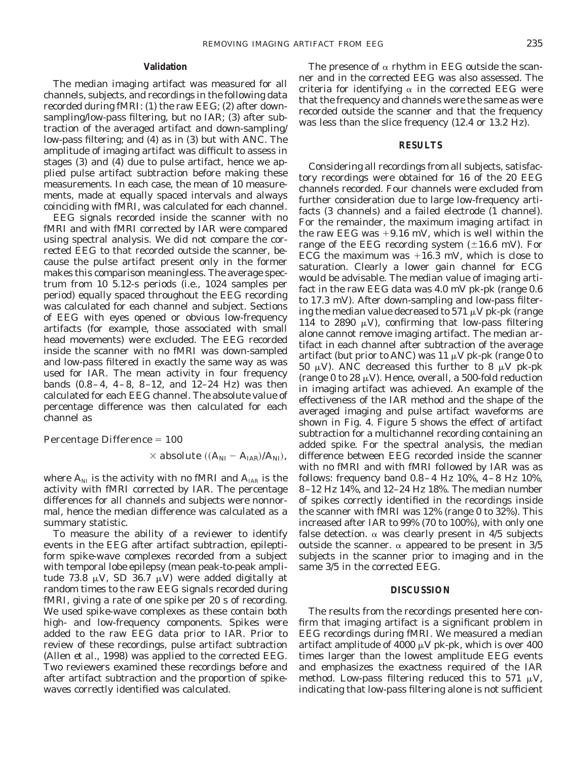## **Validation**

The median imaging artifact was measured for all channels, subjects, and recordings in the following data recorded during fMRI: (1) the raw EEG; (2) after downsampling/low-pass filtering, but no IAR; (3) after subtraction of the averaged artifact and down-sampling/ low-pass filtering; and (4) as in (3) but with ANC. The amplitude of imaging artifact was difficult to assess in stages (3) and (4) due to pulse artifact, hence we applied pulse artifact subtraction before making these measurements. In each case, the mean of 10 measurements, made at equally spaced intervals and always coinciding with fMRI, was calculated for each channel.

EEG signals recorded inside the scanner with no fMRI and with fMRI corrected by IAR were compared using spectral analysis. We did not compare the corrected EEG to that recorded outside the scanner, because the pulse artifact present only in the former makes this comparison meaningless. The average spectrum from 10 5.12-s periods (i.e., 1024 samples per period) equally spaced throughout the EEG recording was calculated for each channel and subject. Sections of EEG with eyes opened or obvious low-frequency artifacts (for example, those associated with small head movements) were excluded. The EEG recorded inside the scanner with no fMRI was down-sampled and low-pass filtered in exactly the same way as was used for IAR. The mean activity in four frequency bands  $(0.8-4, 4-8, 8-12,$  and  $12-24$  Hz) was then calculated for each EEG channel. The absolute value of percentage difference was then calculated for each channel as

Percentage Difference  $= 100$ 

 $\times$  absolute  $((A_{\text{NI}} - A_{\text{IAR}})/A_{\text{NI}}),$ 

where  $A_{\text{NI}}$  is the activity with no fMRI and  $A_{\text{IAR}}$  is the activity with fMRI corrected by IAR. The percentage differences for all channels and subjects were nonnormal, hence the median difference was calculated as a summary statistic.

To measure the ability of a reviewer to identify events in the EEG after artifact subtraction, epileptiform spike-wave complexes recorded from a subject with temporal lobe epilepsy (mean peak-to-peak amplitude 73.8  $\mu$ V, SD 36.7  $\mu$ V) were added digitally at random times to the raw EEG signals recorded during fMRI, giving a rate of one spike per 20 s of recording. We used spike-wave complexes as these contain both high- and low-frequency components. Spikes were added to the raw EEG data prior to IAR. Prior to review of these recordings, pulse artifact subtraction (Allen *et al.,* 1998) was applied to the corrected EEG. Two reviewers examined these recordings before and after artifact subtraction and the proportion of spikewaves correctly identified was calculated.

The presence of  $\alpha$  rhythm in EEG outside the scanner and in the corrected EEG was also assessed. The criteria for identifying  $\alpha$  in the corrected EEG were that the frequency and channels were the same as were recorded outside the scanner and that the frequency was less than the slice frequency (12.4 or 13.2 Hz).

#### **RESULTS**

Considering all recordings from all subjects, satisfactory recordings were obtained for 16 of the 20 EEG channels recorded. Four channels were excluded from further consideration due to large low-frequency artifacts (3 channels) and a failed electrode (1 channel). For the remainder, the maximum imaging artifact in the raw EEG was  $+9.16$  mV, which is well within the range of the EEG recording system  $(\pm 16.6 \text{ mV})$ . For ECG the maximum was  $+16.3$  mV, which is close to saturation. Clearly a lower gain channel for ECG would be advisable. The median value of imaging artifact in the raw EEG data was 4.0 mV pk-pk (range 0.6 to 17.3 mV). After down-sampling and low-pass filtering the median value decreased to 571  $\mu$ V pk-pk (range 114 to 2890  $\mu$ V), confirming that low-pass filtering alone cannot remove imaging artifact. The median artifact in each channel after subtraction of the average artifact (but prior to ANC) was  $11 \mu V$  pk-pk (range 0 to 50  $\mu$ V). ANC decreased this further to 8  $\mu$ V pk-pk (range 0 to 28  $\mu$ V). Hence, overall, a 500-fold reduction in imaging artifact was achieved. An example of the effectiveness of the IAR method and the shape of the averaged imaging and pulse artifact waveforms are shown in Fig. 4. Figure 5 shows the effect of artifact subtraction for a multichannel recording containing an added spike. For the spectral analysis, the median difference between EEG recorded inside the scanner with no fMRI and with fMRI followed by IAR was as follows: frequency band  $0.8-4$  Hz  $10\%$ ,  $4-8$  Hz  $10\%$ , 8–12 Hz 14%, and 12–24 Hz 18%. The median number of spikes correctly identified in the recordings inside the scanner with fMRI was 12% (range 0 to 32%). This increased after IAR to 99% (70 to 100%), with only one false detection.  $\alpha$  was clearly present in 4/5 subjects outside the scanner.  $\alpha$  appeared to be present in 3/5 subjects in the scanner prior to imaging and in the same 3/5 in the corrected EEG.

# **DISCUSSION**

The results from the recordings presented here confirm that imaging artifact is a significant problem in EEG recordings during fMRI. We measured a median artifact amplitude of  $4000 \mu V$  pk-pk, which is over  $400$ times larger than the lowest amplitude EEG events and emphasizes the exactness required of the IAR method. Low-pass filtering reduced this to 571  $\mu$ V, indicating that low-pass filtering alone is not sufficient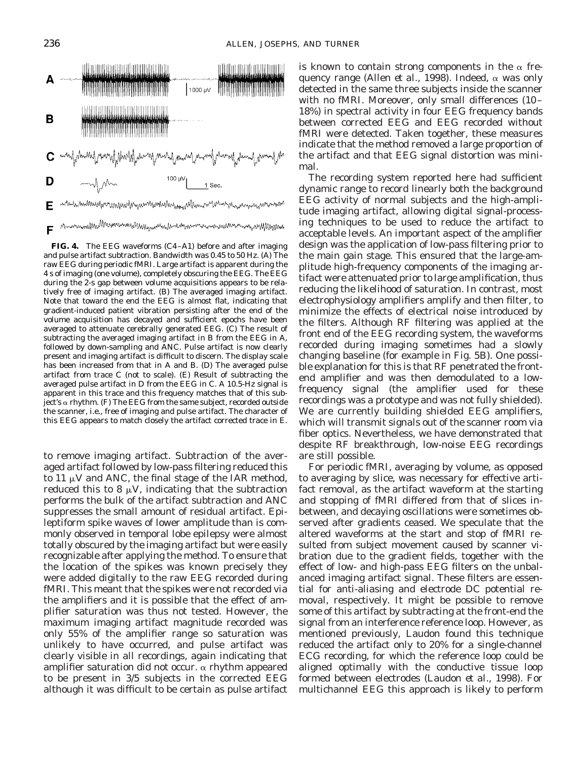

**FIG. 4.** The EEG waveforms (C4–A1) before and after imaging and pulse artifact subtraction. Bandwidth was 0.45 to 50 Hz. (A) The raw EEG during periodic fMRI. Large artifact is apparent during the 4 s of imaging (one volume), completely obscuring the EEG. The EEG during the 2-s gap between volume acquisitions appears to be relatively free of imaging artifact. (B) The averaged imaging artifact. Note that toward the end the EEG is almost flat, indicating that gradient-induced patient vibration persisting after the end of the volume acquisition has decayed and sufficient epochs have been averaged to attenuate cerebrally generated EEG. (C) The result of subtracting the averaged imaging artifact in B from the EEG in A, followed by down-sampling and ANC. Pulse artifact is now clearly present and imaging artifact is difficult to discern. The display scale has been increased from that in A and B. (D) The averaged pulse artifact from trace C (not to scale). (E) Result of subtracting the averaged pulse artifact in D from the EEG in C. A 10.5-Hz signal is apparent in this trace and this frequency matches that of this subject's a rhythm. (F) The EEG from the same subject, recorded *outside* the scanner, i.e., free of imaging and pulse artifact. The character of this EEG appears to match closely the artifact corrected trace in E.

to remove imaging artifact. Subtraction of the averaged artifact followed by low-pass filtering reduced this to 11  $\mu$ V and ANC, the final stage of the IAR method, reduced this to 8  $\mu$ V, indicating that the subtraction performs the bulk of the artifact subtraction and ANC suppresses the small amount of residual artifact. Epileptiform spike waves of lower amplitude than is commonly observed in temporal lobe epilepsy were almost totally obscured by the imaging artifact but were easily recognizable after applying the method. To ensure that the location of the spikes was known precisely they were added digitally to the raw EEG recorded during fMRI. This meant that the spikes were not recorded via the amplifiers and it is possible that the effect of amplifier saturation was thus not tested. However, the maximum imaging artifact magnitude recorded was only 55% of the amplifier range so saturation was unlikely to have occurred, and pulse artifact was clearly visible in all recordings, again indicating that amplifier saturation did not occur.  $\alpha$  rhythm appeared to be present in 3/5 subjects in the corrected EEG although it was difficult to be certain as pulse artifact

is known to contain strong components in the  $\alpha$  frequency range (Allen *et al.*, 1998). Indeed,  $\alpha$  was only detected in the same three subjects inside the scanner with no fMRI. Moreover, only small differences (10– 18%) in spectral activity in four EEG frequency bands between corrected EEG and EEG recorded without fMRI were detected. Taken together, these measures indicate that the method removed a large proportion of the artifact and that EEG signal distortion was minimal.

The recording system reported here had sufficient dynamic range to record linearly both the background EEG activity of normal subjects and the high-amplitude imaging artifact, allowing digital signal-processing techniques to be used to reduce the artifact to acceptable levels. An important aspect of the amplifier design was the application of low-pass filtering prior to the main gain stage. This ensured that the large-amplitude high-frequency components of the imaging artifact were attenuated prior to large amplification, thus reducing the likelihood of saturation. In contrast, most electrophysiology amplifiers amplify and then filter, to minimize the effects of electrical noise introduced by the filters. Although RF filtering was applied at the front end of the EEG recording system, the waveforms recorded during imaging sometimes had a slowly changing baseline (for example in Fig. 5B). One possible explanation for this is that RF penetrated the frontend amplifier and was then demodulated to a lowfrequency signal (the amplifier used for these recordings was a prototype and was not fully shielded). We are currently building shielded EEG amplifiers, which will transmit signals out of the scanner room via fiber optics. Nevertheless, we have demonstrated that despite RF breakthrough, low-noise EEG recordings are still possible.

For periodic fMRI, averaging by volume, as opposed to averaging by slice, was necessary for effective artifact removal, as the artifact waveform at the starting and stopping of fMRI differed from that of slices inbetween, and decaying oscillations were sometimes observed after gradients ceased. We speculate that the altered waveforms at the start and stop of fMRI resulted from subject movement caused by scanner vibration due to the gradient fields, together with the effect of low- and high-pass EEG filters on the unbalanced imaging artifact signal. These filters are essential for anti-aliasing and electrode DC potential removal, respectively. It might be possible to remove some of this artifact by subtracting at the front-end the signal from an interference reference loop. However, as mentioned previously, Laudon found this technique reduced the artifact only to 20% for a single-channel ECG recording, for which the reference loop could be aligned optimally with the conductive tissue loop formed between electrodes (Laudon *et al.,* 1998). For multichannel EEG this approach is likely to perform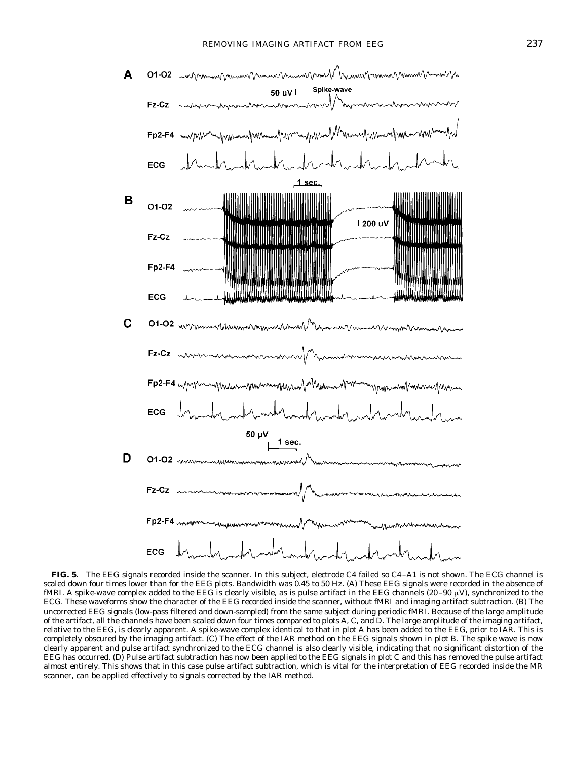

**FIG. 5.** The EEG signals recorded inside the scanner. In this subject, electrode C4 failed so C4–A1 is not shown. The ECG channel is scaled down four times lower than for the EEG plots. Bandwidth was 0.45 to 50 Hz. (A) These EEG signals were recorded in the absence of fMRI. A spike-wave complex added to the EEG is clearly visible, as is pulse artifact in the EEG channels (20–90  $\mu$ V), synchronized to the ECG. These waveforms show the character of the EEG recorded inside the scanner, without fMRI and imaging artifact subtraction. (B) The uncorrected EEG signals (low-pass filtered and down-sampled) from the same subject during periodic fMRI. Because of the large amplitude of the artifact, all the channels have been scaled down four times compared to plots A, C, and D. The large amplitude of the imaging artifact, relative to the EEG, is clearly apparent. A spike-wave complex identical to that in plot A has been added to the EEG, prior to IAR. This is completely obscured by the imaging artifact. (C) The effect of the IAR method on the EEG signals shown in plot B. The spike wave is now clearly apparent and pulse artifact synchronized to the ECG channel is also clearly visible, indicating that no significant distortion of the EEG has occurred. (D) Pulse artifact subtraction has now been applied to the EEG signals in plot C and this has removed the pulse artifact almost entirely. This shows that in this case pulse artifact subtraction, which is vital for the interpretation of EEG recorded inside the MR scanner, can be applied effectively to signals corrected by the IAR method.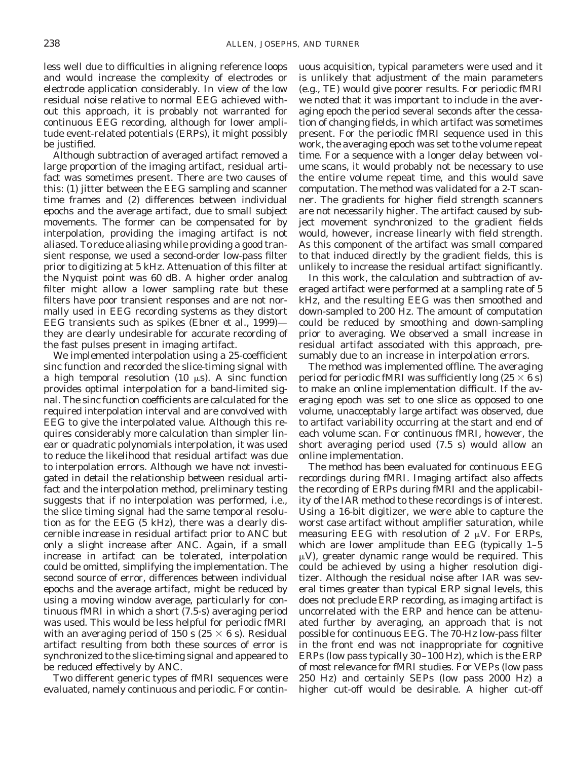less well due to difficulties in aligning reference loops and would increase the complexity of electrodes or electrode application considerably. In view of the low residual noise relative to normal EEG achieved without this approach, it is probably not warranted for continuous EEG recording, although for lower amplitude event-related potentials (ERPs), it might possibly be justified.

Although subtraction of averaged artifact removed a large proportion of the imaging artifact, residual artifact was sometimes present. There are two causes of this: (1) jitter between the EEG sampling and scanner time frames and (2) differences between individual epochs and the average artifact, due to small subject movements. The former can be compensated for by interpolation, providing the imaging artifact is not aliased. To reduce aliasing while providing a good transient response, we used a second-order low-pass filter prior to digitizing at 5 kHz. Attenuation of this filter at the Nyquist point was 60 dB. A higher order analog filter might allow a lower sampling rate but these filters have poor transient responses and are not normally used in EEG recording systems as they distort EEG transients such as spikes (Ebner *et al.,* 1999) they are clearly undesirable for accurate recording of the fast pulses present in imaging artifact.

We implemented interpolation using a 25-coefficient sinc function and recorded the slice-timing signal with a high temporal resolution (10  $\mu$ s). A sinc function provides optimal interpolation for a band-limited signal. The sinc function coefficients are calculated for the required interpolation interval and are convolved with EEG to give the interpolated value. Although this requires considerably more calculation than simpler linear or quadratic polynomials interpolation, it was used to reduce the likelihood that residual artifact was due to interpolation errors. Although we have not investigated in detail the relationship between residual artifact and the interpolation method, preliminary testing suggests that if no interpolation was performed, i.e., the slice timing signal had the same temporal resolution as for the EEG (5 kHz), there was a clearly discernible increase in residual artifact prior to ANC but only a slight increase after ANC. Again, if a small increase in artifact can be tolerated, interpolation could be omitted, simplifying the implementation. The second source of error, differences between individual epochs and the average artifact, might be reduced by using a moving window average, particularly for continuous fMRI in which a short (7.5-s) averaging period was used. This would be less helpful for periodic fMRI with an averaging period of 150 s (25  $\times$  6 s). Residual artifact resulting from both these sources of error is synchronized to the slice-timing signal and appeared to be reduced effectively by ANC.

Two different generic types of fMRI sequences were evaluated, namely continuous and periodic. For contin-

uous acquisition, typical parameters were used and it is unlikely that adjustment of the main parameters (e.g., TE) would give poorer results. For periodic fMRI we noted that it was important to include in the averaging epoch the period several seconds after the cessation of changing fields, in which artifact was sometimes present. For the periodic fMRI sequence used in this work, the averaging epoch was set to the volume repeat time. For a sequence with a longer delay between volume scans, it would probably not be necessary to use the entire volume repeat time, and this would save computation. The method was validated for a 2-T scanner. The gradients for higher field strength scanners are not necessarily higher. The artifact caused by subject movement synchronized to the gradient fields would, however, increase linearly with field strength. As this component of the artifact was small compared to that induced directly by the gradient fields, this is unlikely to increase the residual artifact significantly.

In this work, the calculation and subtraction of averaged artifact were performed at a sampling rate of 5 kHz, and the resulting EEG was then smoothed and down-sampled to 200 Hz. The amount of computation could be reduced by smoothing and down-sampling prior to averaging. We observed a small increase in residual artifact associated with this approach, presumably due to an increase in interpolation errors.

The method was implemented offline. The averaging period for periodic fMRI was sufficiently long ( $25 \times 6$  s) to make an online implementation difficult. If the averaging epoch was set to one slice as opposed to one volume, unacceptably large artifact was observed, due to artifact variability occurring at the start and end of each volume scan. For continuous fMRI, however, the short averaging period used (7.5 s) would allow an online implementation.

The method has been evaluated for continuous EEG recordings during fMRI. Imaging artifact also affects the recording of ERPs during fMRI and the applicability of the IAR method to these recordings is of interest. Using a 16-bit digitizer, we were able to capture the worst case artifact without amplifier saturation, while measuring EEG with resolution of 2  $\mu$ V. For ERPs, which are lower amplitude than EEG (typically 1–5  $\mu$ V), greater dynamic range would be required. This could be achieved by using a higher resolution digitizer. Although the residual noise after IAR was several times greater than typical ERP signal levels, this does not preclude ERP recording, as imaging artifact is uncorrelated with the ERP and hence can be attenuated further by averaging, an approach that is not possible for continuous EEG. The 70-Hz low-pass filter in the front end was not inappropriate for cognitive ERPs (low pass typically 30–100 Hz), which is the ERP of most relevance for fMRI studies. For VEPs (low pass 250 Hz) and certainly SEPs (low pass 2000 Hz) a higher cut-off would be desirable. A higher cut-off